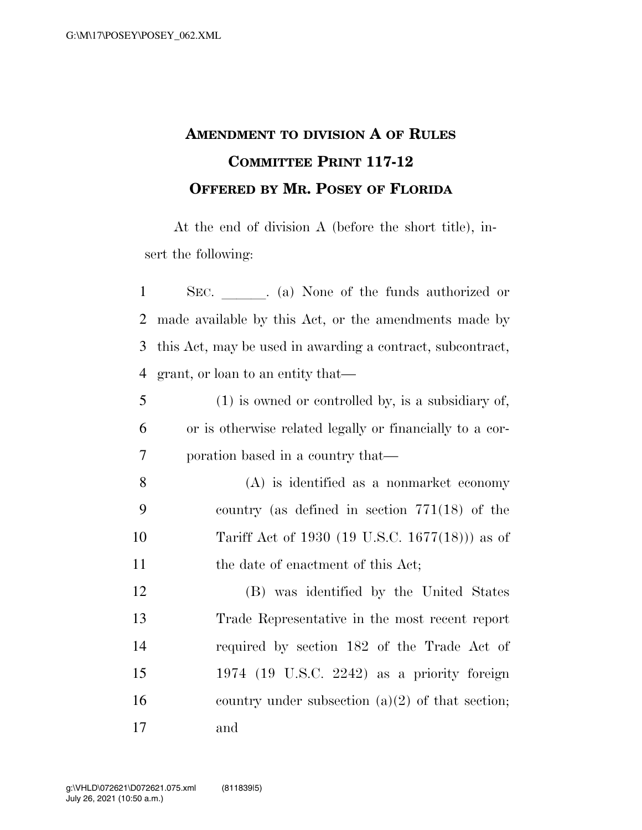## **AMENDMENT TO DIVISION A OF RULES COMMITTEE PRINT 117-12 OFFERED BY MR. POSEY OF FLORIDA**

At the end of division A (before the short title), insert the following:

| $\mathbf{1}$   | SEC. (a) None of the funds authorized or                   |                                                      |  |  |
|----------------|------------------------------------------------------------|------------------------------------------------------|--|--|
| $\overline{2}$ | made available by this Act, or the amendments made by      |                                                      |  |  |
| 3              | this Act, may be used in awarding a contract, subcontract, |                                                      |  |  |
| $\overline{4}$ | grant, or loan to an entity that—                          |                                                      |  |  |
| 5              |                                                            | $(1)$ is owned or controlled by, is a subsidiary of, |  |  |
| 6              | or is otherwise related legally or financially to a cor-   |                                                      |  |  |
| 7              | poration based in a country that—                          |                                                      |  |  |
| 8              |                                                            | $(A)$ is identified as a nonmarket economy           |  |  |
| 9              |                                                            | country (as defined in section $771(18)$ of the      |  |  |
| 10             |                                                            | Tariff Act of 1930 (19 U.S.C. 1677(18))) as of       |  |  |
| 11             |                                                            | the date of enactment of this Act;                   |  |  |
| 12             |                                                            | (B) was identified by the United States              |  |  |
| 13             |                                                            | Trade Representative in the most recent report       |  |  |
| 14             |                                                            | required by section 182 of the Trade Act of          |  |  |
| 15             |                                                            | 1974 (19 U.S.C. 2242) as a priority foreign          |  |  |
| 16             |                                                            | country under subsection $(a)(2)$ of that section;   |  |  |
| 17             | and                                                        |                                                      |  |  |